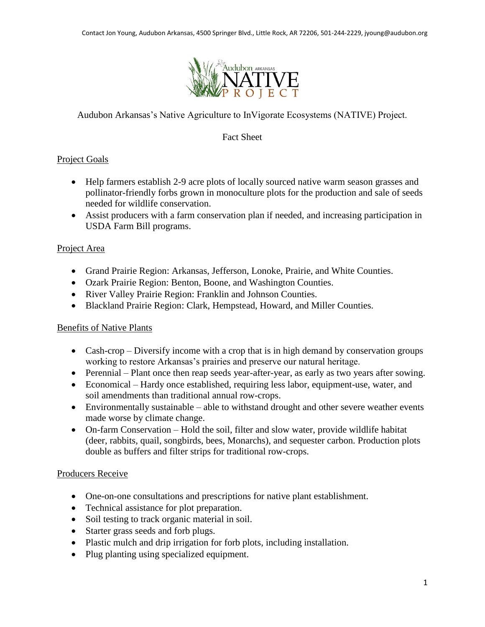

Audubon Arkansas's Native Agriculture to InVigorate Ecosystems (NATIVE) Project.

## Fact Sheet

# Project Goals

- Help farmers establish 2-9 acre plots of locally sourced native warm season grasses and pollinator-friendly forbs grown in monoculture plots for the production and sale of seeds needed for wildlife conservation.
- Assist producers with a farm conservation plan if needed, and increasing participation in USDA Farm Bill programs.

## Project Area

- Grand Prairie Region: Arkansas, Jefferson, Lonoke, Prairie, and White Counties.
- Ozark Prairie Region: Benton, Boone, and Washington Counties.
- River Valley Prairie Region: Franklin and Johnson Counties.
- Blackland Prairie Region: Clark, Hempstead, Howard, and Miller Counties.

### Benefits of Native Plants

- Cash-crop Diversify income with a crop that is in high demand by conservation groups working to restore Arkansas's prairies and preserve our natural heritage.
- Perennial Plant once then reap seeds year-after-year, as early as two years after sowing.
- Economical Hardy once established, requiring less labor, equipment-use, water, and soil amendments than traditional annual row-crops.
- Environmentally sustainable able to withstand drought and other severe weather events made worse by climate change.
- On-farm Conservation Hold the soil, filter and slow water, provide wildlife habitat (deer, rabbits, quail, songbirds, bees, Monarchs), and sequester carbon. Production plots double as buffers and filter strips for traditional row-crops.

### Producers Receive

- One-on-one consultations and prescriptions for native plant establishment.
- Technical assistance for plot preparation.
- Soil testing to track organic material in soil.
- Starter grass seeds and forb plugs.
- Plastic mulch and drip irrigation for forb plots, including installation.
- Plug planting using specialized equipment.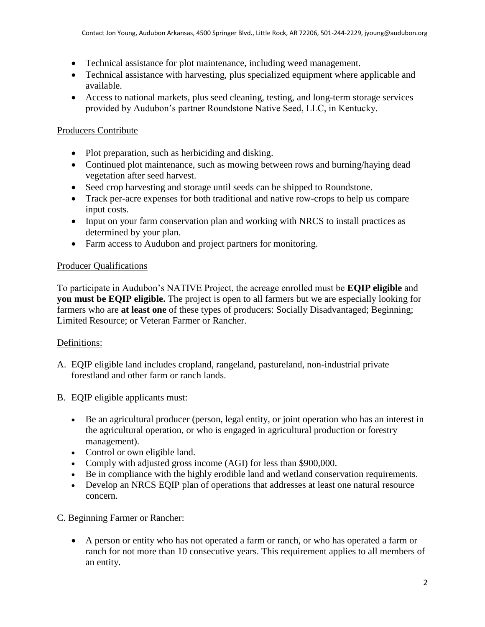- Technical assistance for plot maintenance, including weed management.
- Technical assistance with harvesting, plus specialized equipment where applicable and available.
- Access to national markets, plus seed cleaning, testing, and long-term storage services provided by Audubon's partner Roundstone Native Seed, LLC, in Kentucky.

# Producers Contribute

- Plot preparation, such as herbiciding and disking.
- Continued plot maintenance, such as mowing between rows and burning/haying dead vegetation after seed harvest.
- Seed crop harvesting and storage until seeds can be shipped to Roundstone.
- Track per-acre expenses for both traditional and native row-crops to help us compare input costs.
- Input on your farm conservation plan and working with NRCS to install practices as determined by your plan.
- Farm access to Audubon and project partners for monitoring.

## Producer Qualifications

To participate in Audubon's NATIVE Project, the acreage enrolled must be **EQIP eligible** and **you must be EQIP eligible.** The project is open to all farmers but we are especially looking for farmers who are **at least one** of these types of producers: Socially Disadvantaged; Beginning; Limited Resource; or Veteran Farmer or Rancher.

# Definitions:

- A. EQIP eligible land includes cropland, rangeland, pastureland, non-industrial private forestland and other farm or ranch lands.
- B. EQIP eligible applicants must:
	- Be an agricultural producer (person, legal entity, or joint operation who has an interest in the agricultural operation, or who is engaged in agricultural production or forestry management).
	- Control or own eligible land.
	- Comply with adjusted gross income (AGI) for less than \$900,000.
	- Be in compliance with the highly erodible land and wetland conservation requirements.
	- Develop an NRCS EQIP plan of operations that addresses at least one natural resource concern.

### C. Beginning Farmer or Rancher:

 A person or entity who has not operated a farm or ranch, or who has operated a farm or ranch for not more than 10 consecutive years. This requirement applies to all members of an entity.